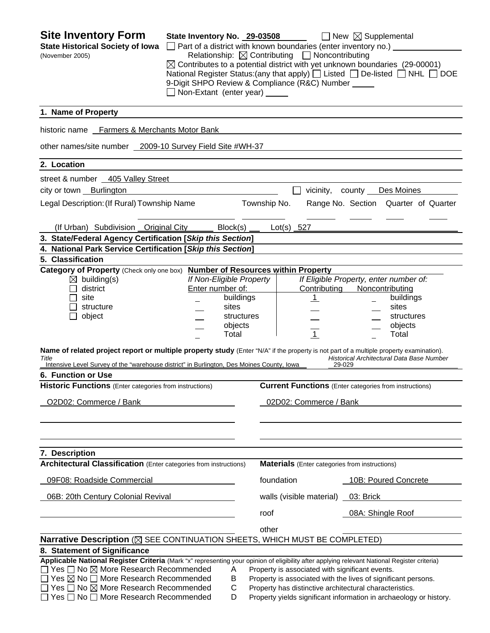| <b>Site Inventory Form</b><br><b>State Historical Society of Iowa</b><br>(November 2005)                                                                                                                                                                                                                                                                                                                                              | State Inventory No. 29-03508<br>Non-Extant (enter year) _____ |                                                      | $\Box$ Part of a district with known boundaries (enter inventory no.) $\Box$<br>Relationship: $\boxtimes$ Contributing $\Box$ Noncontributing<br>9-Digit SHPO Review & Compliance (R&C) Number _____ | $\Box$ New $\boxtimes$ Supplemental<br>$\boxtimes$ Contributes to a potential district with yet unknown boundaries (29-00001)<br>National Register Status: (any that apply) $\Box$ Listed $\Box$ De-listed $\Box$ NHL $\Box$ DOE |
|---------------------------------------------------------------------------------------------------------------------------------------------------------------------------------------------------------------------------------------------------------------------------------------------------------------------------------------------------------------------------------------------------------------------------------------|---------------------------------------------------------------|------------------------------------------------------|------------------------------------------------------------------------------------------------------------------------------------------------------------------------------------------------------|----------------------------------------------------------------------------------------------------------------------------------------------------------------------------------------------------------------------------------|
| 1. Name of Property                                                                                                                                                                                                                                                                                                                                                                                                                   |                                                               |                                                      |                                                                                                                                                                                                      |                                                                                                                                                                                                                                  |
| historic name Farmers & Merchants Motor Bank                                                                                                                                                                                                                                                                                                                                                                                          |                                                               |                                                      |                                                                                                                                                                                                      |                                                                                                                                                                                                                                  |
| other names/site number 2009-10 Survey Field Site #WH-37                                                                                                                                                                                                                                                                                                                                                                              |                                                               |                                                      |                                                                                                                                                                                                      |                                                                                                                                                                                                                                  |
| 2. Location                                                                                                                                                                                                                                                                                                                                                                                                                           |                                                               |                                                      |                                                                                                                                                                                                      |                                                                                                                                                                                                                                  |
| street & number 405 Valley Street                                                                                                                                                                                                                                                                                                                                                                                                     |                                                               |                                                      |                                                                                                                                                                                                      |                                                                                                                                                                                                                                  |
| city or town Burlington                                                                                                                                                                                                                                                                                                                                                                                                               |                                                               |                                                      |                                                                                                                                                                                                      | vicinity, county Des Moines                                                                                                                                                                                                      |
| Legal Description: (If Rural) Township Name                                                                                                                                                                                                                                                                                                                                                                                           |                                                               | Township No.                                         |                                                                                                                                                                                                      | Range No. Section Quarter of Quarter                                                                                                                                                                                             |
| (If Urban) Subdivision Original City                                                                                                                                                                                                                                                                                                                                                                                                  |                                                               | Block(s)                                             | $Lot(s)$ 527                                                                                                                                                                                         |                                                                                                                                                                                                                                  |
| 3. State/Federal Agency Certification [Skip this Section]                                                                                                                                                                                                                                                                                                                                                                             |                                                               |                                                      |                                                                                                                                                                                                      |                                                                                                                                                                                                                                  |
| 4. National Park Service Certification [Skip this Section]                                                                                                                                                                                                                                                                                                                                                                            |                                                               |                                                      |                                                                                                                                                                                                      |                                                                                                                                                                                                                                  |
| 5. Classification<br>Category of Property (Check only one box) Number of Resources within Property                                                                                                                                                                                                                                                                                                                                    |                                                               |                                                      |                                                                                                                                                                                                      |                                                                                                                                                                                                                                  |
| $\boxtimes$ building(s)<br>district<br>site<br>structure<br>object<br>Name of related project report or multiple property study (Enter "N/A" if the property is not part of a multiple property examination).<br>Title<br>Intensive Level Survey of the "warehouse district" in Burlington, Des Moines County, Iowa<br>6. Function or Use<br><b>Historic Functions</b> (Enter categories from instructions)<br>O2D02: Commerce / Bank | If Non-Eligible Property<br>Enter number of:                  | buildings<br>sites<br>structures<br>objects<br>Total | Contributing<br>$\perp$<br>$\mathbf{1}$<br>29-029<br>02D02: Commerce / Bank                                                                                                                          | If Eligible Property, enter number of:<br>Noncontributing<br>buildings<br>sites<br>structures<br>objects<br>Total<br>Historical Architectural Data Base Number<br><b>Current Functions</b> (Enter categories from instructions)  |
| 7. Description<br><b>Architectural Classification</b> (Enter categories from instructions)                                                                                                                                                                                                                                                                                                                                            |                                                               |                                                      | <b>Materials</b> (Enter categories from instructions)                                                                                                                                                |                                                                                                                                                                                                                                  |
| 09F08: Roadside Commercial                                                                                                                                                                                                                                                                                                                                                                                                            |                                                               |                                                      | foundation                                                                                                                                                                                           | 10B: Poured Concrete                                                                                                                                                                                                             |
| 06B: 20th Century Colonial Revival                                                                                                                                                                                                                                                                                                                                                                                                    |                                                               |                                                      | walls (visible material) _                                                                                                                                                                           | 03: Brick                                                                                                                                                                                                                        |
|                                                                                                                                                                                                                                                                                                                                                                                                                                       |                                                               | roof                                                 |                                                                                                                                                                                                      | 08A: Shingle Roof                                                                                                                                                                                                                |
|                                                                                                                                                                                                                                                                                                                                                                                                                                       |                                                               | other                                                |                                                                                                                                                                                                      |                                                                                                                                                                                                                                  |
| Narrative Description (⊠ SEE CONTINUATION SHEETS, WHICH MUST BE COMPLETED)                                                                                                                                                                                                                                                                                                                                                            |                                                               |                                                      |                                                                                                                                                                                                      |                                                                                                                                                                                                                                  |
| 8. Statement of Significance                                                                                                                                                                                                                                                                                                                                                                                                          |                                                               |                                                      |                                                                                                                                                                                                      |                                                                                                                                                                                                                                  |
| Applicable National Register Criteria (Mark "x" representing your opinion of eligibility after applying relevant National Register criteria)<br>$\Box$ Yes $\Box$ No $\boxtimes$ More Research Recommended<br>$\Box$ Yes $\boxtimes$ No $\Box$ More Research Recommended<br>$\Box$ Yes $\Box$ No $\boxtimes$ More Research Recommended<br>$\Box$ Yes $\Box$ No $\Box$ More Research Recommended                                       |                                                               | A<br>В<br>C<br>D                                     | Property is associated with significant events.                                                                                                                                                      | Property is associated with the lives of significant persons.<br>Property has distinctive architectural characteristics.<br>Property yields significant information in archaeology or history.                                   |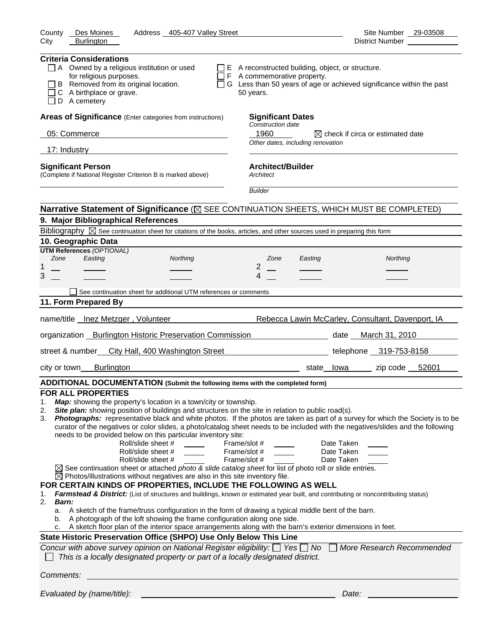| Address _405-407 Valley Street<br>County<br>Des Moines                                                                                                                                                                                                                                                                                                                                                                                                                                                                                         | Site Number 29-03508                                                                                                                                                                                                                                                                                                                                         |
|------------------------------------------------------------------------------------------------------------------------------------------------------------------------------------------------------------------------------------------------------------------------------------------------------------------------------------------------------------------------------------------------------------------------------------------------------------------------------------------------------------------------------------------------|--------------------------------------------------------------------------------------------------------------------------------------------------------------------------------------------------------------------------------------------------------------------------------------------------------------------------------------------------------------|
| City<br><b>Burlington</b>                                                                                                                                                                                                                                                                                                                                                                                                                                                                                                                      | District Number                                                                                                                                                                                                                                                                                                                                              |
| <b>Criteria Considerations</b>                                                                                                                                                                                                                                                                                                                                                                                                                                                                                                                 |                                                                                                                                                                                                                                                                                                                                                              |
| $\Box$ A Owned by a religious institution or used                                                                                                                                                                                                                                                                                                                                                                                                                                                                                              | $\Box$ E A reconstructed building, object, or structure.                                                                                                                                                                                                                                                                                                     |
| for religious purposes.                                                                                                                                                                                                                                                                                                                                                                                                                                                                                                                        | $\Box$ F A commemorative property.                                                                                                                                                                                                                                                                                                                           |
| B Removed from its original location.<br>C A birthplace or grave.                                                                                                                                                                                                                                                                                                                                                                                                                                                                              | □ G Less than 50 years of age or achieved significance within the past<br>50 years.                                                                                                                                                                                                                                                                          |
| D A cemetery                                                                                                                                                                                                                                                                                                                                                                                                                                                                                                                                   |                                                                                                                                                                                                                                                                                                                                                              |
| Areas of Significance (Enter categories from instructions)                                                                                                                                                                                                                                                                                                                                                                                                                                                                                     | <b>Significant Dates</b><br>Construction date                                                                                                                                                                                                                                                                                                                |
| 05: Commerce                                                                                                                                                                                                                                                                                                                                                                                                                                                                                                                                   | 1960<br>$\boxtimes$ check if circa or estimated date                                                                                                                                                                                                                                                                                                         |
| 17: Industry                                                                                                                                                                                                                                                                                                                                                                                                                                                                                                                                   | Other dates, including renovation                                                                                                                                                                                                                                                                                                                            |
| <b>Significant Person</b>                                                                                                                                                                                                                                                                                                                                                                                                                                                                                                                      | <b>Architect/Builder</b>                                                                                                                                                                                                                                                                                                                                     |
| (Complete if National Register Criterion B is marked above)                                                                                                                                                                                                                                                                                                                                                                                                                                                                                    | Architect                                                                                                                                                                                                                                                                                                                                                    |
|                                                                                                                                                                                                                                                                                                                                                                                                                                                                                                                                                | <b>Builder</b>                                                                                                                                                                                                                                                                                                                                               |
|                                                                                                                                                                                                                                                                                                                                                                                                                                                                                                                                                | Narrative Statement of Significance ( $\boxtimes$ SEE CONTINUATION SHEETS, WHICH MUST BE COMPLETED)                                                                                                                                                                                                                                                          |
| 9. Major Bibliographical References                                                                                                                                                                                                                                                                                                                                                                                                                                                                                                            |                                                                                                                                                                                                                                                                                                                                                              |
| Bibliography $\boxtimes$ See continuation sheet for citations of the books, articles, and other sources used in preparing this form                                                                                                                                                                                                                                                                                                                                                                                                            |                                                                                                                                                                                                                                                                                                                                                              |
| 10. Geographic Data                                                                                                                                                                                                                                                                                                                                                                                                                                                                                                                            |                                                                                                                                                                                                                                                                                                                                                              |
| <b>UTM References (OPTIONAL)</b><br>Zone<br>Easting<br>Northing                                                                                                                                                                                                                                                                                                                                                                                                                                                                                | Zone<br>Easting<br>Northing                                                                                                                                                                                                                                                                                                                                  |
| 1                                                                                                                                                                                                                                                                                                                                                                                                                                                                                                                                              | 2                                                                                                                                                                                                                                                                                                                                                            |
| 3                                                                                                                                                                                                                                                                                                                                                                                                                                                                                                                                              | 4                                                                                                                                                                                                                                                                                                                                                            |
| See continuation sheet for additional UTM references or comments                                                                                                                                                                                                                                                                                                                                                                                                                                                                               |                                                                                                                                                                                                                                                                                                                                                              |
| 11. Form Prepared By                                                                                                                                                                                                                                                                                                                                                                                                                                                                                                                           |                                                                                                                                                                                                                                                                                                                                                              |
|                                                                                                                                                                                                                                                                                                                                                                                                                                                                                                                                                |                                                                                                                                                                                                                                                                                                                                                              |
| name/title _Inez Metzger, Volunteer                                                                                                                                                                                                                                                                                                                                                                                                                                                                                                            | Rebecca Lawin McCarley, Consultant, Davenport, IA                                                                                                                                                                                                                                                                                                            |
| organization Burlington Historic Preservation Commission date March 31, 2010                                                                                                                                                                                                                                                                                                                                                                                                                                                                   |                                                                                                                                                                                                                                                                                                                                                              |
| street & number<br>City Hall, 400 Washington Street                                                                                                                                                                                                                                                                                                                                                                                                                                                                                            | telephone 319-753-8158                                                                                                                                                                                                                                                                                                                                       |
| <b>Burlington</b><br>city or town                                                                                                                                                                                                                                                                                                                                                                                                                                                                                                              | zip code 52601<br>state lowa                                                                                                                                                                                                                                                                                                                                 |
| ADDITIONAL DOCUMENTATION (Submit the following items with the completed form)                                                                                                                                                                                                                                                                                                                                                                                                                                                                  |                                                                                                                                                                                                                                                                                                                                                              |
| <b>FOR ALL PROPERTIES</b>                                                                                                                                                                                                                                                                                                                                                                                                                                                                                                                      |                                                                                                                                                                                                                                                                                                                                                              |
| Map: showing the property's location in a town/city or township.<br>1.<br>Site plan: showing position of buildings and structures on the site in relation to public road(s).<br>2.<br>3.<br>needs to be provided below on this particular inventory site:<br>Roll/slide sheet #<br>Roll/slide sheet #<br>Roll/slide sheet #<br>$\boxtimes$ See continuation sheet or attached photo & slide catalog sheet for list of photo roll or slide entries.<br>$\boxtimes$ Photos/illustrations without negatives are also in this site inventory file. | Photographs: representative black and white photos. If the photos are taken as part of a survey for which the Society is to be<br>curator of the negatives or color slides, a photo/catalog sheet needs to be included with the negatives/slides and the following<br>Frame/slot #<br>Date Taken<br>Frame/slot #<br>Date Taken<br>Frame/slot #<br>Date Taken |
| FOR CERTAIN KINDS OF PROPERTIES, INCLUDE THE FOLLOWING AS WELL<br>1.<br>2.<br><b>Barn:</b><br>A sketch of the frame/truss configuration in the form of drawing a typical middle bent of the barn.                                                                                                                                                                                                                                                                                                                                              | Farmstead & District: (List of structures and buildings, known or estimated year built, and contributing or noncontributing status)                                                                                                                                                                                                                          |
| a.<br>A photograph of the loft showing the frame configuration along one side.<br>b.<br>A sketch floor plan of the interior space arrangements along with the barn's exterior dimensions in feet.<br>c.                                                                                                                                                                                                                                                                                                                                        |                                                                                                                                                                                                                                                                                                                                                              |
| State Historic Preservation Office (SHPO) Use Only Below This Line                                                                                                                                                                                                                                                                                                                                                                                                                                                                             |                                                                                                                                                                                                                                                                                                                                                              |
| Concur with above survey opinion on National Register eligibility: $\Box$ Yes $\Box$ No<br>This is a locally designated property or part of a locally designated district.                                                                                                                                                                                                                                                                                                                                                                     | More Research Recommended                                                                                                                                                                                                                                                                                                                                    |
| Comments:                                                                                                                                                                                                                                                                                                                                                                                                                                                                                                                                      |                                                                                                                                                                                                                                                                                                                                                              |
| Evaluated by (name/title):                                                                                                                                                                                                                                                                                                                                                                                                                                                                                                                     | Date:                                                                                                                                                                                                                                                                                                                                                        |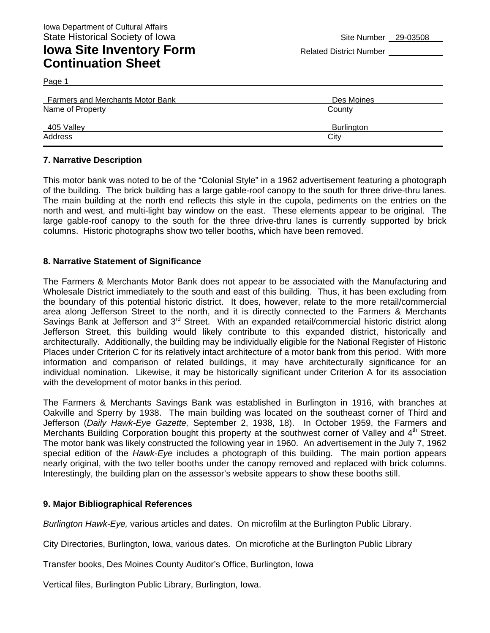Page 1

| <b>Farmers and Merchants Motor Bank</b> | Des Moines        |
|-----------------------------------------|-------------------|
| Name of Property                        | County            |
| $-405$ Valley                           | <b>Burlington</b> |
| Address                                 | City              |

#### **7. Narrative Description**

This motor bank was noted to be of the "Colonial Style" in a 1962 advertisement featuring a photograph of the building. The brick building has a large gable-roof canopy to the south for three drive-thru lanes. The main building at the north end reflects this style in the cupola, pediments on the entries on the north and west, and multi-light bay window on the east. These elements appear to be original. The large gable-roof canopy to the south for the three drive-thru lanes is currently supported by brick columns. Historic photographs show two teller booths, which have been removed.

#### **8. Narrative Statement of Significance**

The Farmers & Merchants Motor Bank does not appear to be associated with the Manufacturing and Wholesale District immediately to the south and east of this building. Thus, it has been excluding from the boundary of this potential historic district. It does, however, relate to the more retail/commercial area along Jefferson Street to the north, and it is directly connected to the Farmers & Merchants Savings Bank at Jefferson and 3<sup>rd</sup> Street. With an expanded retail/commercial historic district along Jefferson Street, this building would likely contribute to this expanded district, historically and architecturally. Additionally, the building may be individually eligible for the National Register of Historic Places under Criterion C for its relatively intact architecture of a motor bank from this period. With more information and comparison of related buildings, it may have architecturally significance for an individual nomination. Likewise, it may be historically significant under Criterion A for its association with the development of motor banks in this period.

The Farmers & Merchants Savings Bank was established in Burlington in 1916, with branches at Oakville and Sperry by 1938. The main building was located on the southeast corner of Third and Jefferson (*Daily Hawk-Eye Gazette,* September 2, 1938, 18). In October 1959, the Farmers and Merchants Building Corporation bought this property at the southwest corner of Valley and  $4<sup>th</sup>$  Street. The motor bank was likely constructed the following year in 1960. An advertisement in the July 7, 1962 special edition of the *Hawk-Eye* includes a photograph of this building. The main portion appears nearly original, with the two teller booths under the canopy removed and replaced with brick columns. Interestingly, the building plan on the assessor's website appears to show these booths still.

#### **9. Major Bibliographical References**

*Burlington Hawk-Eye,* various articles and dates. On microfilm at the Burlington Public Library.

City Directories, Burlington, Iowa, various dates. On microfiche at the Burlington Public Library

Transfer books, Des Moines County Auditor's Office, Burlington, Iowa

Vertical files, Burlington Public Library, Burlington, Iowa.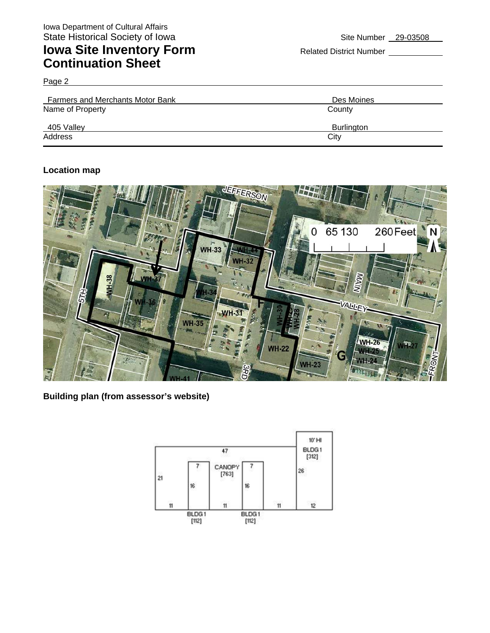Page 2

| <b>Farmers and Merchants Motor Bank</b> | Des Moines        |
|-----------------------------------------|-------------------|
| Name of Property                        | County            |
| 405 Valley                              | <b>Burlington</b> |
| Address                                 | City              |

#### **Location map**



**Building plan (from assessor's website)** 

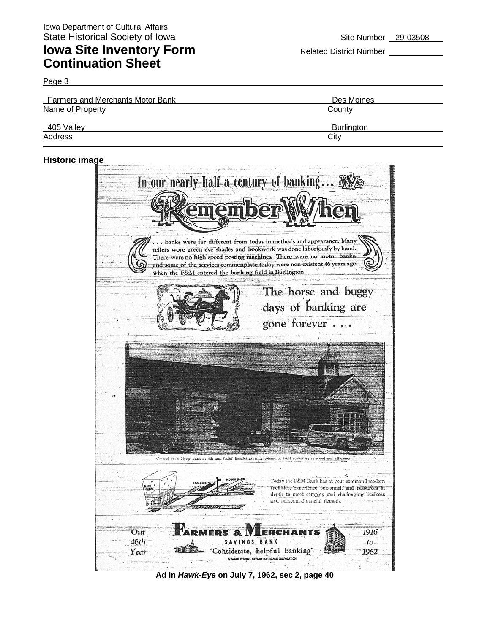Page 3

| <b>Farmers and Merchants Motor Bank</b> | Des Moines        |
|-----------------------------------------|-------------------|
| Name of Property                        | County            |
| 405 Valley                              | <b>Burlington</b> |
| Address                                 | City              |

#### **Historic image**



**Ad in** *Hawk-Eye* **on July 7, 1962, sec 2, page 40**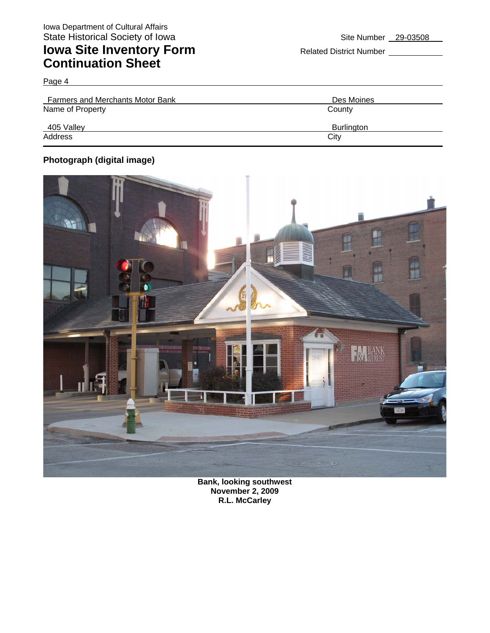Page 4

| <b>Farmers and Merchants Motor Bank</b> | Des Moines        |
|-----------------------------------------|-------------------|
| Name of Property                        | County            |
| $-405$ Valley                           | <b>Burlington</b> |
| Address                                 | City              |

### **Photograph (digital image)**



**Bank, looking southwest November 2, 2009 R.L. McCarley**